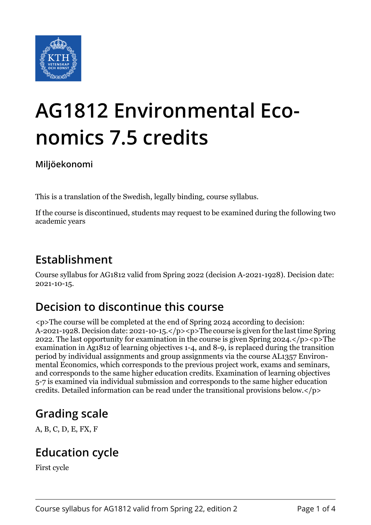

# **AG1812 Environmental Economics 7.5 credits**

**Miljöekonomi**

This is a translation of the Swedish, legally binding, course syllabus.

If the course is discontinued, students may request to be examined during the following two academic years

#### **Establishment**

Course syllabus for AG1812 valid from Spring 2022 (decision A-2021-1928). Decision date: 2021-10-15.

## **Decision to discontinue this course**

<p>The course will be completed at the end of Spring 2024 according to decision: A-2021-1928. Decision date: 2021-10-15.</p><p>The course is given for the last time Spring 2022. The last opportunity for examination in the course is given Spring 2024. $\langle p \rangle$  =  $\sim$  The examination in Ag1812 of learning objectives 1-4, and 8-9, is replaced during the transition period by individual assignments and group assignments via the course AL1357 Environmental Economics, which corresponds to the previous project work, exams and seminars, and corresponds to the same higher education credits. Examination of learning objectives 5-7 is examined via individual submission and corresponds to the same higher education credits. Detailed information can be read under the transitional provisions below.</p>

# **Grading scale**

A, B, C, D, E, FX, F

#### **Education cycle**

First cycle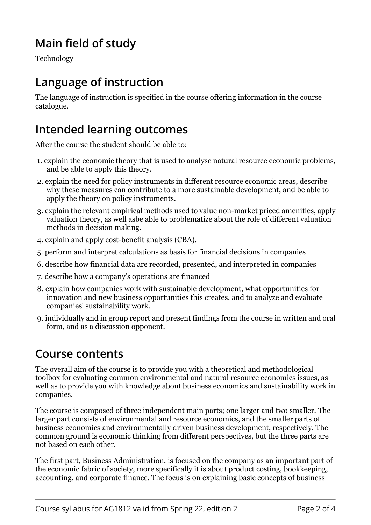## **Main field of study**

Technology

#### **Language of instruction**

The language of instruction is specified in the course offering information in the course catalogue.

#### **Intended learning outcomes**

After the course the student should be able to:

- 1. explain the economic theory that is used to analyse natural resource economic problems, and be able to apply this theory.
- 2. explain the need for policy instruments in different resource economic areas, describe why these measures can contribute to a more sustainable development, and be able to apply the theory on policy instruments.
- 3. explain the relevant empirical methods used to value non-market priced amenities, apply valuation theory, as well asbe able to problematize about the role of different valuation methods in decision making.
- 4. explain and apply cost-benefit analysis (CBA).
- 5. perform and interpret calculations as basis for financial decisions in companies
- 6. describe how financial data are recorded, presented, and interpreted in companies
- 7. describe how a company's operations are financed
- 8. explain how companies work with sustainable development, what opportunities for innovation and new business opportunities this creates, and to analyze and evaluate companies' sustainability work.
- 9. individually and in group report and present findings from the course in written and oral form, and as a discussion opponent.

#### **Course contents**

The overall aim of the course is to provide you with a theoretical and methodological toolbox for evaluating common environmental and natural resource economics issues, as well as to provide you with knowledge about business economics and sustainability work in companies.

The course is composed of three independent main parts; one larger and two smaller. The larger part consists of environmental and resource economics, and the smaller parts of business economics and environmentally driven business development, respectively. The common ground is economic thinking from different perspectives, but the three parts are not based on each other.

The first part, Business Administration, is focused on the company as an important part of the economic fabric of society, more specifically it is about product costing, bookkeeping, accounting, and corporate finance. The focus is on explaining basic concepts of business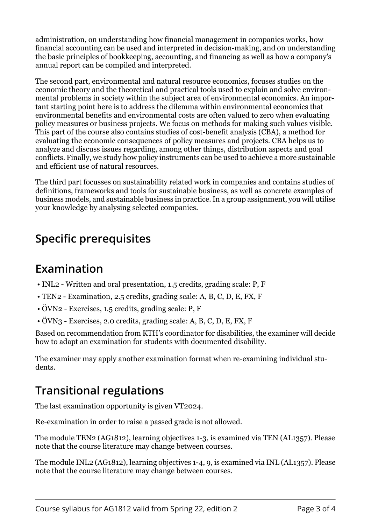administration, on understanding how financial management in companies works, how financial accounting can be used and interpreted in decision-making, and on understanding the basic principles of bookkeeping, accounting, and financing as well as how a company's annual report can be compiled and interpreted.

The second part, environmental and natural resource economics, focuses studies on the economic theory and the theoretical and practical tools used to explain and solve environmental problems in society within the subject area of environmental economics. An important starting point here is to address the dilemma within environmental economics that environmental benefits and environmental costs are often valued to zero when evaluating policy measures or business projects. We focus on methods for making such values visible. This part of the course also contains studies of cost-benefit analysis (CBA), a method for evaluating the economic consequences of policy measures and projects. CBA helps us to analyze and discuss issues regarding, among other things, distribution aspects and goal conflicts. Finally, we study how policy instruments can be used to achieve a more sustainable and efficient use of natural resources.

The third part focusses on sustainability related work in companies and contains studies of definitions, frameworks and tools for sustainable business, as well as concrete examples of business models, and sustainable business in practice. In a group assignment, you will utilise your knowledge by analysing selected companies.

## **Specific prerequisites**

#### **Examination**

- INL2 Written and oral presentation, 1.5 credits, grading scale: P, F
- TEN2 Examination, 2.5 credits, grading scale: A, B, C, D, E, FX, F
- ÖVN2 Exercises, 1.5 credits, grading scale: P, F
- ÖVN3 Exercises, 2.0 credits, grading scale: A, B, C, D, E, FX, F

Based on recommendation from KTH's coordinator for disabilities, the examiner will decide how to adapt an examination for students with documented disability.

The examiner may apply another examination format when re-examining individual students.

## **Transitional regulations**

The last examination opportunity is given VT2024.

Re-examination in order to raise a passed grade is not allowed.

The module TEN2 (AG1812), learning objectives 1-3, is examined via TEN (AL1357). Please note that the course literature may change between courses.

The module INL2 (AG1812), learning objectives 1-4, 9, is examined via INL (AL1357). Please note that the course literature may change between courses.